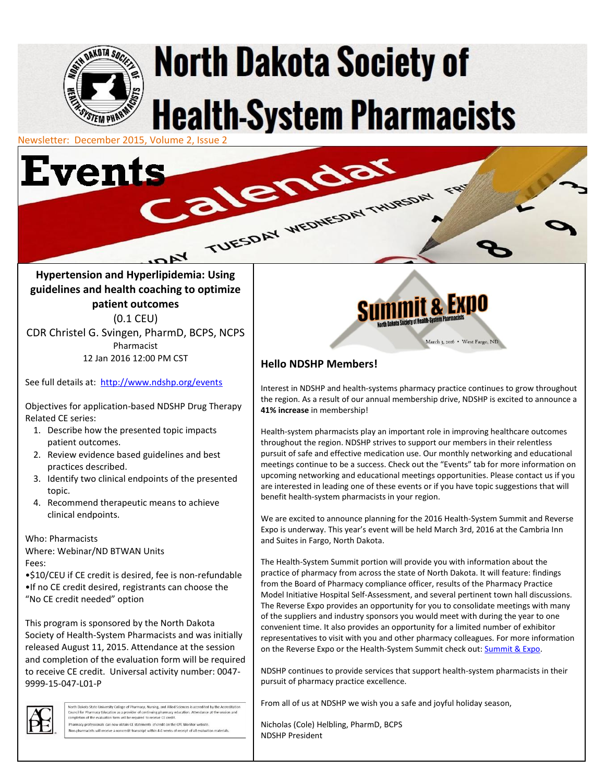

# **North Dakota Society of Health-System Pharmacists**

alendar

Newsletter: December 2015, Volume 2, Issue 2



### **Hypertension and Hyperlipidemia: Using guidelines and health coaching to optimize patient outcomes** (0.1 CEU) CDR Christel G. Svingen, PharmD, BCPS, NCPS Pharmacist

 $rac{K}{4}$ 

12 Jan 2016 12:00 PM CST

See full details at: <http://www.ndshp.org/events>

Objectives for application-based NDSHP Drug Therapy Related CE series:

- 1. Describe how the presented topic impacts patient outcomes.
- 2. Review evidence based guidelines and best practices described.
- 3. Identify two clinical endpoints of the presented topic.
- 4. Recommend therapeutic means to achieve clinical endpoints.

#### Who: Pharmacists

Where: Webinar/ND BTWAN Units Fees:

•\$10/CEU if CE credit is desired, fee is non-refundable •If no CE credit desired, registrants can choose the "No CE credit needed" option

This program is sponsored by the North Dakota Society of Health-System Pharmacists and was initially released August 11, 2015. Attendance at the session and completion of the evaluation form will be required to receive CE credit. Universal activity number: 0047- 9999-15-047-L01-P



North Dakota State University College of Pharmacy, Nursing, and Allied Sciences is accredited by the Accreditatio<br>Council for Pharmacy Education as a provider of continuing pharmacy education. Attendance at the session and Pharmacy professionals can now obtain CE statements of credit on the CPE Monitor websit on-pharmacists will receive a noncredit transcript within 4-6 weeks of receipt of all evaluation



# **Hello NDSHP Members!**

TUESDAY WEDNESDAY THURSDAY

Interest in NDSHP and health-systems pharmacy practice continues to grow throughout the region. As a result of our annual membership drive, NDSHP is excited to announce a **41% increase** in membership!

Health-system pharmacists play an important role in improving healthcare outcomes throughout the region. NDSHP strives to support our members in their relentless pursuit of safe and effective medication use. Our monthly networking and educational meetings continue to be a success. Check out the "Events" tab for more information on upcoming networking and educational meetings opportunities. Please contact us if you are interested in leading one of these events or if you have topic suggestions that will benefit health-system pharmacists in your region.

We are excited to announce planning for the 2016 Health-System Summit and Reverse Expo is underway. This year's event will be held March 3rd, 2016 at the Cambria Inn and Suites in Fargo, North Dakota.

The Health-System Summit portion will provide you with information about the practice of pharmacy from across the state of North Dakota. It will feature: findings from the Board of Pharmacy compliance officer, results of the Pharmacy Practice Model Initiative Hospital Self-Assessment, and several pertinent town hall discussions. The Reverse Expo provides an opportunity for you to consolidate meetings with many of the suppliers and industry sponsors you would meet with during the year to one convenient time. It also provides an opportunity for a limited number of exhibitor representatives to visit with you and other pharmacy colleagues. For more information on the Reverse Expo or the Health-System Summit check out[: Summit & Expo.](https://www.google.com/url?q=http%3A%2F%2Fwww.ndshp.org%2FSummit-and-Expo)

NDSHP continues to provide services that support health-system pharmacists in their pursuit of pharmacy practice excellence.

From all of us at NDSHP we wish you a safe and joyful holiday season,

Nicholas (Cole) Helbling, PharmD, BCPS NDSHP President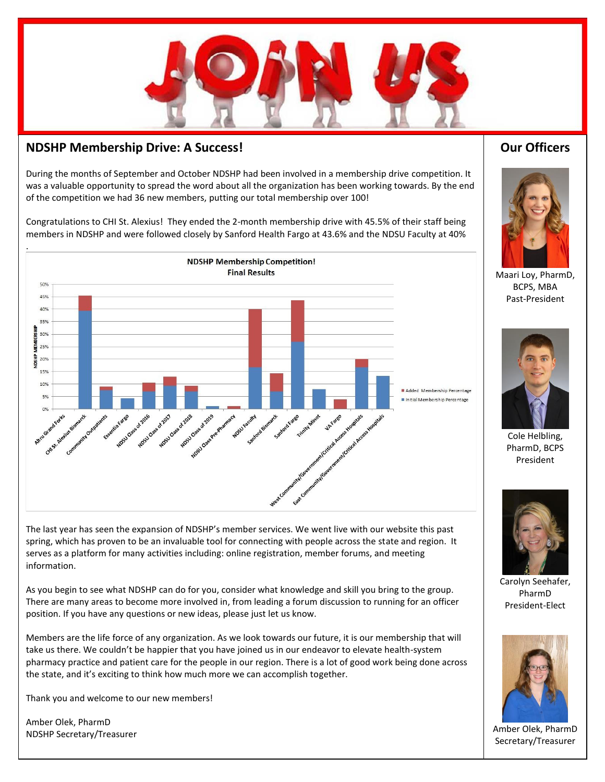

### **NDSHP Membership Drive: A Success!**

During the months of September and October NDSHP had been involved in a membership drive competition. It was a valuable opportunity to spread the word about all the organization has been working towards. By the end of the competition we had 36 new members, putting our total membership over 100!

Congratulations to CHI St. Alexius! They ended the 2-month membership drive with 45.5% of their staff being members in NDSHP and were followed closely by Sanford Health Fargo at 43.6% and the NDSU Faculty at 40%



The last year has seen the expansion of NDSHP's member services. We went live with our website this past spring, which has proven to be an invaluable tool for connecting with people across the state and region. It serves as a platform for many activities including: online registration, member forums, and meeting information.

As you begin to see what NDSHP can do for you, consider what knowledge and skill you bring to the group. There are many areas to become more involved in, from leading a forum discussion to running for an officer position. If you have any questions or new ideas, please just let us know.

Members are the life force of any organization. As we look towards our future, it is our membership that will take us there. We couldn't be happier that you have joined us in our endeavor to elevate health-system pharmacy practice and patient care for the people in our region. There is a lot of good work being done across the state, and it's exciting to think how much more we can accomplish together.

Thank you and welcome to our new members!

Amber Olek, PharmD NDSHP Secretary/Treasurer

# **Our Officers**



Maari Loy, PharmD, BCPS, MBA Past-President



Cole Helbling, PharmD, BCPS President



Carolyn Seehafer, PharmD President-Elect



Amber Olek, PharmD Secretary/Treasurer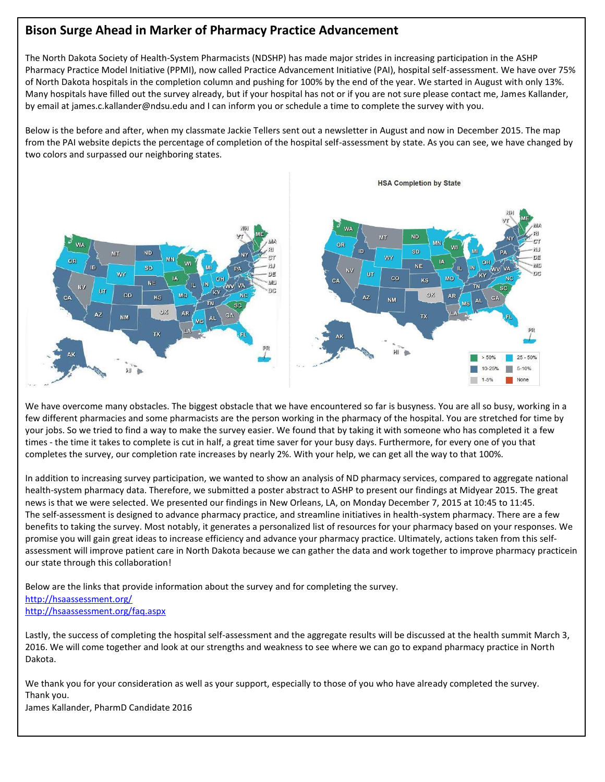# **Bison Surge Ahead in Marker of Pharmacy Practice Advancement**

The North Dakota Society of Health-System Pharmacists (NDSHP) has made major strides in increasing participation in the ASHP Pharmacy Practice Model Initiative (PPMI), now called Practice Advancement Initiative (PAI), hospital self-assessment. We have over 75% of North Dakota hospitals in the completion column and pushing for 100% by the end of the year. We started in August with only 13%. Many hospitals have filled out the survey already, but if your hospital has not or if you are not sure please contact me, James Kallander, by email at james.c.kallander@ndsu.edu and I can inform you or schedule a time to complete the survey with you.

Below is the before and after, when my classmate Jackie Tellers sent out a newsletter in August and now in December 2015. The map from the PAI website depicts the percentage of completion of the hospital self-assessment by state. As you can see, we have changed by two colors and surpassed our neighboring states.



We have overcome many obstacles. The biggest obstacle that we have encountered so far is busyness. You are all so busy, working in a few different pharmacies and some pharmacists are the person working in the pharmacy of the hospital. You are stretched for time by your jobs. So we tried to find a way to make the survey easier. We found that by taking it with someone who has completed it a few times - the time it takes to complete is cut in half, a great time saver for your busy days. Furthermore, for every one of you that completes the survey, our completion rate increases by nearly 2%. With your help, we can get all the way to that 100%.

In addition to increasing survey participation, we wanted to show an analysis of ND pharmacy services, compared to aggregate national health-system pharmacy data. Therefore, we submitted a poster abstract to ASHP to present our findings at Midyear 2015. The great news is that we were selected. We presented our findings in New Orleans, LA, on Monday December 7, 2015 at 10:45 to 11:45. The self-assessment is designed to advance pharmacy practice, and streamline initiatives in health-system pharmacy. There are a few benefits to taking the survey. Most notably, it generates a personalized list of resources for your pharmacy based on your responses. We promise you will gain great ideas to increase efficiency and advance your pharmacy practice. Ultimately, actions taken from this selfassessment will improve patient care in North Dakota because we can gather the data and work together to improve pharmacy practicein our state through this collaboration!

Below are the links that provide information about the survey and for completing the survey. <http://hsaassessment.org/> <http://hsaassessment.org/faq.aspx>

Lastly, the success of completing the hospital self-assessment and the aggregate results will be discussed at the health summit March 3, 2016. We will come together and look at our strengths and weakness to see where we can go to expand pharmacy practice in North Dakota.

We thank you for your consideration as well as your support, especially to those of you who have already completed the survey. Thank you.

James Kallander, PharmD Candidate 2016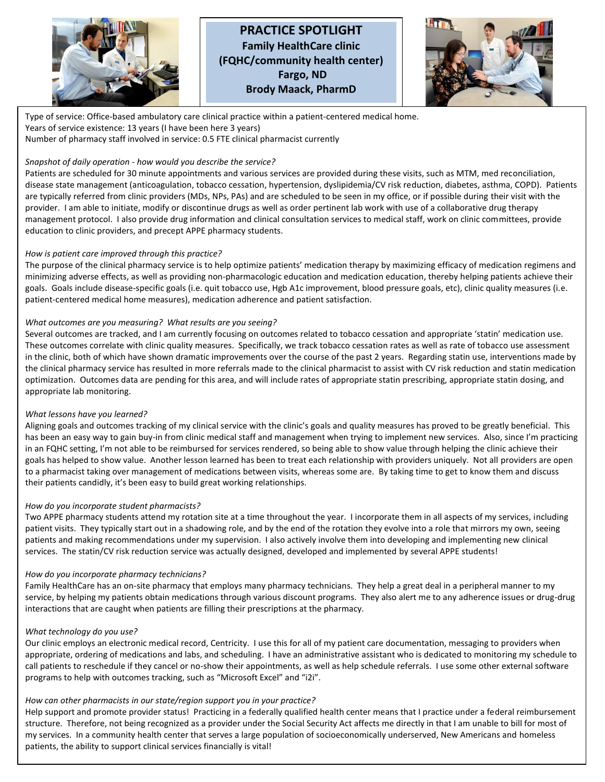

.<br>T

## **PRACTICE SPOTLIGHT Family HealthCare clinic (FQHC/community health center) Fargo, ND Brody Maack, PharmD**



Type of service: Office-based ambulatory care clinical practice within a patient-centered medical home. Years of service existence: 13 years (I have been here 3 years) Number of pharmacy staff involved in service: 0.5 FTE clinical pharmacist currently

#### *Snapshot of daily operation - how would you describe the service?*

Patients are scheduled for 30 minute appointments and various services are provided during these visits, such as MTM, med reconciliation, disease state management (anticoagulation, tobacco cessation, hypertension, dyslipidemia/CV risk reduction, diabetes, asthma, COPD). Patients are typically referred from clinic providers (MDs, NPs, PAs) and are scheduled to be seen in my office, or if possible during their visit with the provider. I am able to initiate, modify or discontinue drugs as well as order pertinent lab work with use of a collaborative drug therapy management protocol. I also provide drug information and clinical consultation services to medical staff, work on clinic committees, provide education to clinic providers, and precept APPE pharmacy students.

#### *How is patient care improved through this practice?*

The purpose of the clinical pharmacy service is to help optimize patients' medication therapy by maximizing efficacy of medication regimens and minimizing adverse effects, as well as providing non-pharmacologic education and medication education, thereby helping patients achieve their goals. Goals include disease-specific goals (i.e. quit tobacco use, Hgb A1c improvement, blood pressure goals, etc), clinic quality measures (i.e. patient-centered medical home measures), medication adherence and patient satisfaction.

#### *What outcomes are you measuring? What results are you seeing?*

Several outcomes are tracked, and I am currently focusing on outcomes related to tobacco cessation and appropriate 'statin' medication use. These outcomes correlate with clinic quality measures. Specifically, we track tobacco cessation rates as well as rate of tobacco use assessment in the clinic, both of which have shown dramatic improvements over the course of the past 2 years. Regarding statin use, interventions made by the clinical pharmacy service has resulted in more referrals made to the clinical pharmacist to assist with CV risk reduction and statin medication optimization. Outcomes data are pending for this area, and will include rates of appropriate statin prescribing, appropriate statin dosing, and appropriate lab monitoring.

#### *What lessons have you learned?*

Aligning goals and outcomes tracking of my clinical service with the clinic's goals and quality measures has proved to be greatly beneficial. This has been an easy way to gain buy-in from clinic medical staff and management when trying to implement new services. Also, since I'm practicing in an FQHC setting, I'm not able to be reimbursed for services rendered, so being able to show value through helping the clinic achieve their goals has helped to show value. Another lesson learned has been to treat each relationship with providers uniquely. Not all providers are open to a pharmacist taking over management of medications between visits, whereas some are. By taking time to get to know them and discuss their patients candidly, it's been easy to build great working relationships.

#### *How do you incorporate student pharmacists?*

Two APPE pharmacy students attend my rotation site at a time throughout the year. I incorporate them in all aspects of my services, including patient visits. They typically start out in a shadowing role, and by the end of the rotation they evolve into a role that mirrors my own, seeing patients and making recommendations under my supervision. I also actively involve them into developing and implementing new clinical services. The statin/CV risk reduction service was actually designed, developed and implemented by several APPE students!

#### *How do you incorporate pharmacy technicians?*

Family HealthCare has an on-site pharmacy that employs many pharmacy technicians. They help a great deal in a peripheral manner to my service, by helping my patients obtain medications through various discount programs. They also alert me to any adherence issues or drug-drug interactions that are caught when patients are filling their prescriptions at the pharmacy.

#### *What technology do you use?*

Our clinic employs an electronic medical record, Centricity. I use this for all of my patient care documentation, messaging to providers when appropriate, ordering of medications and labs, and scheduling. I have an administrative assistant who is dedicated to monitoring my schedule to call patients to reschedule if they cancel or no-show their appointments, as well as help schedule referrals. I use some other external software programs to help with outcomes tracking, such as "Microsoft Excel" and "i2i".

#### *How can other pharmacists in our state/region support you in your practice?*

Help support and promote provider status! Practicing in a federally qualified health center means that I practice under a federal reimbursement structure. Therefore, not being recognized as a provider under the Social Security Act affects me directly in that I am unable to bill for most of my services. In a community health center that serves a large population of socioeconomically underserved, New Americans and homeless patients, the ability to support clinical services financially is vital!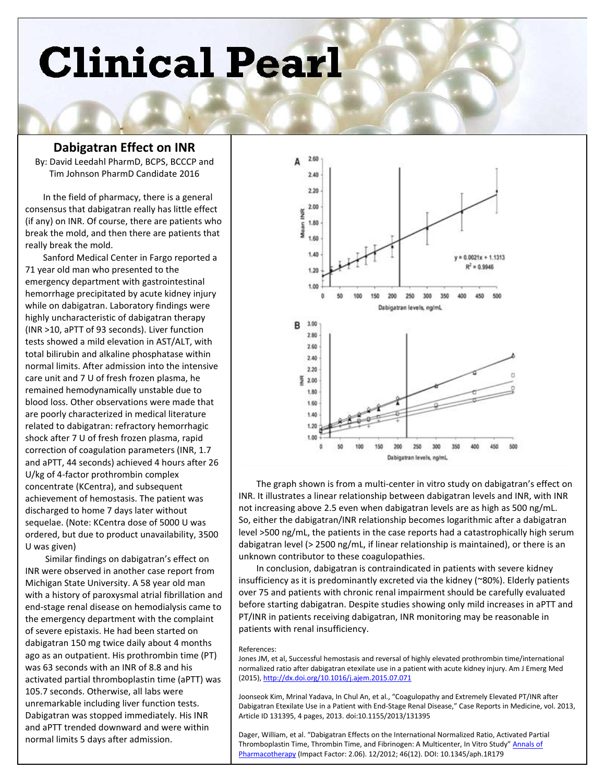# **Clinical Pearl**

#### **Dabigatran Effect on INR**

By: David Leedahl PharmD, BCPS, BCCCP and Tim Johnson PharmD Candidate 2016

In the field of pharmacy, there is a general consensus that dabigatran really has little effect (if any) on INR. Of course, there are patients who break the mold, and then there are patients that really break the mold.

Sanford Medical Center in Fargo reported a 71 year old man who presented to the emergency department with gastrointestinal hemorrhage precipitated by acute kidney injury while on dabigatran. Laboratory findings were highly uncharacteristic of dabigatran therapy (INR >10, aPTT of 93 seconds). Liver function tests showed a mild elevation in AST/ALT, with total bilirubin and alkaline phosphatase within normal limits. After admission into the intensive care unit and 7 U of fresh frozen plasma, he remained hemodynamically unstable due to blood loss. Other observations were made that are poorly characterized in medical literature related to dabigatran: refractory hemorrhagic shock after 7 U of fresh frozen plasma, rapid correction of coagulation parameters (INR, 1.7 and aPTT, 44 seconds) achieved 4 hours after 26 U/kg of 4-factor prothrombin complex concentrate (KCentra), and subsequent achievement of hemostasis. The patient was discharged to home 7 days later without sequelae. (Note: KCentra dose of 5000 U was ordered, but due to product unavailability, 3500 U was given)

Similar findings on dabigatran's effect on INR were observed in another case report from Michigan State University. A 58 year old man with a history of paroxysmal atrial fibrillation and end-stage renal disease on hemodialysis came to the emergency department with the complaint of severe epistaxis. He had been started on dabigatran 150 mg twice daily about 4 months ago as an outpatient. His prothrombin time (PT) was 63 seconds with an INR of 8.8 and his activated partial thromboplastin time (aPTT) was 105.7 seconds. Otherwise, all labs were unremarkable including liver function tests. Dabigatran was stopped immediately. His INR and aPTT trended downward and were within normal limits 5 days after admission.



The graph shown is from a multi-center in vitro study on dabigatran's effect on INR. It illustrates a linear relationship between dabigatran levels and INR, with INR not increasing above 2.5 even when dabigatran levels are as high as 500 ng/mL. So, either the dabigatran/INR relationship becomes logarithmic after a dabigatran level >500 ng/mL, the patients in the case reports had a catastrophically high serum dabigatran level (> 2500 ng/mL, if linear relationship is maintained), or there is an unknown contributor to these coagulopathies.

In conclusion, dabigatran is contraindicated in patients with severe kidney insufficiency as it is predominantly excreted via the kidney (~80%). Elderly patients over 75 and patients with chronic renal impairment should be carefully evaluated before starting dabigatran. Despite studies showing only mild increases in aPTT and PT/INR in patients receiving dabigatran, INR monitoring may be reasonable in patients with renal insufficiency.

#### References:

Jones JM, et al, Successful hemostasis and reversal of highly elevated prothrombin time/international normalized ratio after dabigatran etexilate use in a patient with acute kidney injury. Am J Emerg Med (2015)[, http://dx.doi.org/10.1016/j.ajem.2015.07.071](http://dx.doi.org/10.1016/j.ajem.2015.07.071)

Joonseok Kim, Mrinal Yadava, In Chul An, et al., "Coagulopathy and Extremely Elevated PT/INR after Dabigatran Etexilate Use in a Patient with End-Stage Renal Disease," Case Reports in Medicine, vol. 2013, Article ID 131395, 4 pages, 2013. doi:10.1155/2013/131395

Dager, William, et al. "Dabigatran Effects on the International Normalized Ratio, Activated Partial Thromboplastin Time, Thrombin Time, and Fibrinogen: A Multicenter, In Vitro Study" [Annals of](http://www.researchgate.net/journal/1542-6270_Annals_of_Pharmacotherapy)  [Pharmacotherapy](http://www.researchgate.net/journal/1542-6270_Annals_of_Pharmacotherapy) (Impact Factor: 2.06). 12/2012; 46(12). DOI: 10.1345/aph.1R179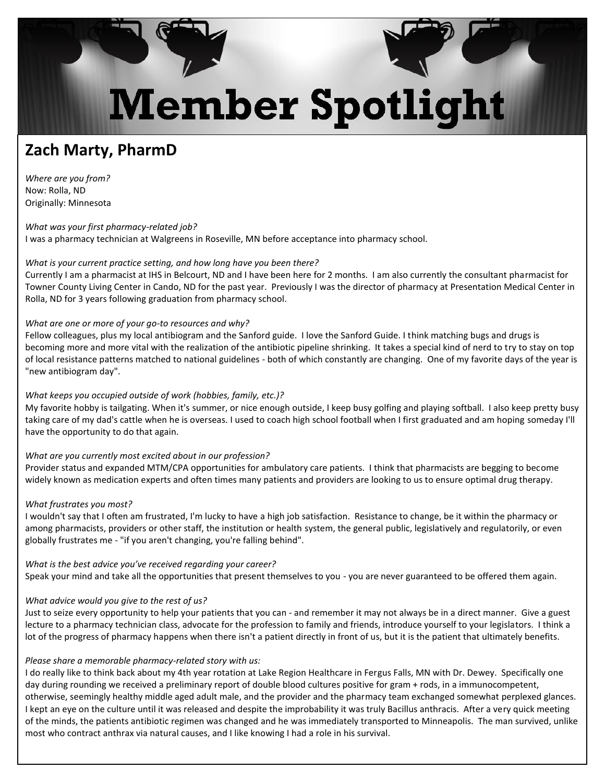# **Member Spotlight**

# **Zach Marty, PharmD**

*Where are you from?* Now: Rolla, ND Originally: Minnesota

*What was your first pharmacy-related job?* I was a pharmacy technician at Walgreens in Roseville, MN before acceptance into pharmacy school.

#### *What is your current practice setting, and how long have you been there?*

Currently I am a pharmacist at IHS in Belcourt, ND and I have been here for 2 months. I am also currently the consultant pharmacist for Towner County Living Center in Cando, ND for the past year. Previously I was the director of pharmacy at Presentation Medical Center in Rolla, ND for 3 years following graduation from pharmacy school.

#### *What are one or more of your go-to resources and why?*

Fellow colleagues, plus my local antibiogram and the Sanford guide. I love the Sanford Guide. I think matching bugs and drugs is becoming more and more vital with the realization of the antibiotic pipeline shrinking. It takes a special kind of nerd to try to stay on top of local resistance patterns matched to national guidelines - both of which constantly are changing. One of my favorite days of the year is "new antibiogram day".

#### *What keeps you occupied outside of work (hobbies, family, etc.)?*

My favorite hobby is tailgating. When it's summer, or nice enough outside, I keep busy golfing and playing softball. I also keep pretty busy taking care of my dad's cattle when he is overseas. I used to coach high school football when I first graduated and am hoping someday I'll have the opportunity to do that again.

#### *What are you currently most excited about in our profession?*

Provider status and expanded MTM/CPA opportunities for ambulatory care patients. I think that pharmacists are begging to become widely known as medication experts and often times many patients and providers are looking to us to ensure optimal drug therapy.

#### *What frustrates you most?*

I wouldn't say that I often am frustrated, I'm lucky to have a high job satisfaction. Resistance to change, be it within the pharmacy or among pharmacists, providers or other staff, the institution or health system, the general public, legislatively and regulatorily, or even globally frustrates me - "if you aren't changing, you're falling behind".

*What is the best advice you've received regarding your career?*  Speak your mind and take all the opportunities that present themselves to you - you are never guaranteed to be offered them again.

#### *What advice would you give to the rest of us?*

Just to seize every opportunity to help your patients that you can - and remember it may not always be in a direct manner. Give a guest lecture to a pharmacy technician class, advocate for the profession to family and friends, introduce yourself to your legislators. I think a lot of the progress of pharmacy happens when there isn't a patient directly in front of us, but it is the patient that ultimately benefits.

#### *Please share a memorable pharmacy-related story with us:*

I do really like to think back about my 4th year rotation at Lake Region Healthcare in Fergus Falls, MN with Dr. Dewey. Specifically one day during rounding we received a preliminary report of double blood cultures positive for gram + rods, in a immunocompetent, otherwise, seemingly healthy middle aged adult male, and the provider and the pharmacy team exchanged somewhat perplexed glances. I kept an eye on the culture until it was released and despite the improbability it was truly Bacillus anthracis. After a very quick meeting of the minds, the patients antibiotic regimen was changed and he was immediately transported to Minneapolis. The man survived, unlike most who contract anthrax via natural causes, and I like knowing I had a role in his survival.